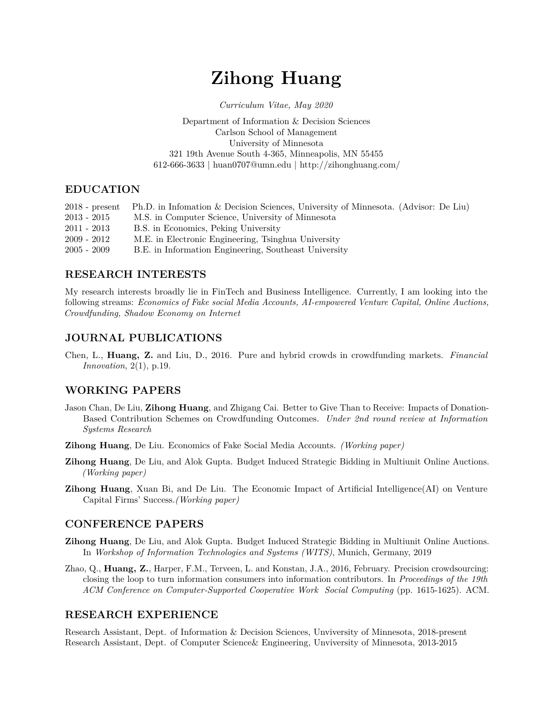# **Zihong Huang**

*Curriculum Vitae, May 2020*

#### Department of Information & Decision Sciences Carlson School of Management University of Minnesota 321 19th Avenue South 4-365, Minneapolis, MN 55455 612-666-3633 | [huan0707@umn.edu](mailto:huan0707@umn.edu) |<http://zihonghuang.com/>

#### **EDUCATION**

|               | 2018 - present Ph.D. in Infomation & Decision Sciences, University of Minnesota. (Advisor: De Liu) |
|---------------|----------------------------------------------------------------------------------------------------|
| $2013 - 2015$ | M.S. in Computer Science, University of Minnesota                                                  |
| $2011 - 2013$ | B.S. in Economics, Peking University                                                               |
| $2009 - 2012$ | M.E. in Electronic Engineering, Tsinghua University                                                |
| $2005 - 2009$ | B.E. in Information Engineering, Southeast University                                              |

## **RESEARCH INTERESTS**

My research interests broadly lie in FinTech and Business Intelligence. Currently, I am looking into the following streams: *Economics of Fake social Media Accounts, AI-empowered Venture Capital, Online Auctions, Crowdfunding, Shadow Economy on Internet*

# **JOURNAL PUBLICATIONS**

Chen, L., **Huang, Z.** and Liu, D., 2016. Pure and hybrid crowds in crowdfunding markets. *Financial Innovation*, 2(1), p.19.

## **WORKING PAPERS**

Jason Chan, De Liu, **Zihong Huang**, and Zhigang Cai. Better to Give Than to Receive: Impacts of Donation-Based Contribution Schemes on Crowdfunding Outcomes. *Under 2nd round review at Information Systems Research*

**Zihong Huang**, De Liu. Economics of Fake Social Media Accounts. *(Working paper)*

- **Zihong Huang**, De Liu, and Alok Gupta. Budget Induced Strategic Bidding in Multiunit Online Auctions. *(Working paper)*
- **Zihong Huang**, Xuan Bi, and De Liu. The Economic Impact of Artificial Intelligence(AI) on Venture Capital Firms' Success.*(Working paper)*

### **CONFERENCE PAPERS**

- **Zihong Huang**, De Liu, and Alok Gupta. Budget Induced Strategic Bidding in Multiunit Online Auctions. In *Workshop of Information Technologies and Systems (WITS)*, Munich, Germany, 2019
- Zhao, Q., **Huang, Z.**, Harper, F.M., Terveen, L. and Konstan, J.A., 2016, February. Precision crowdsourcing: closing the loop to turn information consumers into information contributors. In *Proceedings of the 19th ACM Conference on Computer-Supported Cooperative Work Social Computing* (pp. 1615-1625). ACM.

### **RESEARCH EXPERIENCE**

Research Assistant, Dept. of Information & Decision Sciences, Unviversity of Minnesota, 2018-present Research Assistant, Dept. of Computer Science& Engineering, Unviversity of Minnesota, 2013-2015